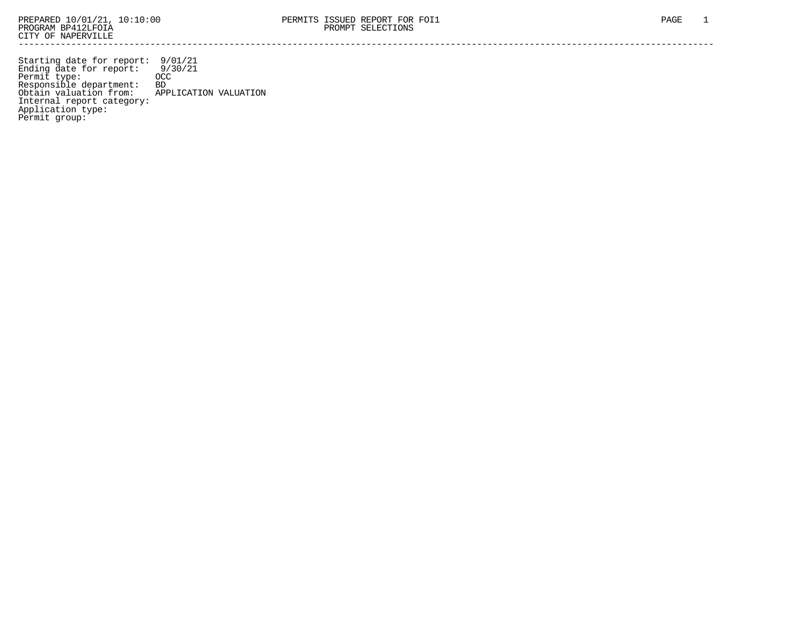Starting date for report: 9/01/21 Ending date for report: 9/30/21 Permit type: OCC Responsible department: BD Obtain valuation from: APPLICATION VALUATION Internal report category: Application type: Permit group: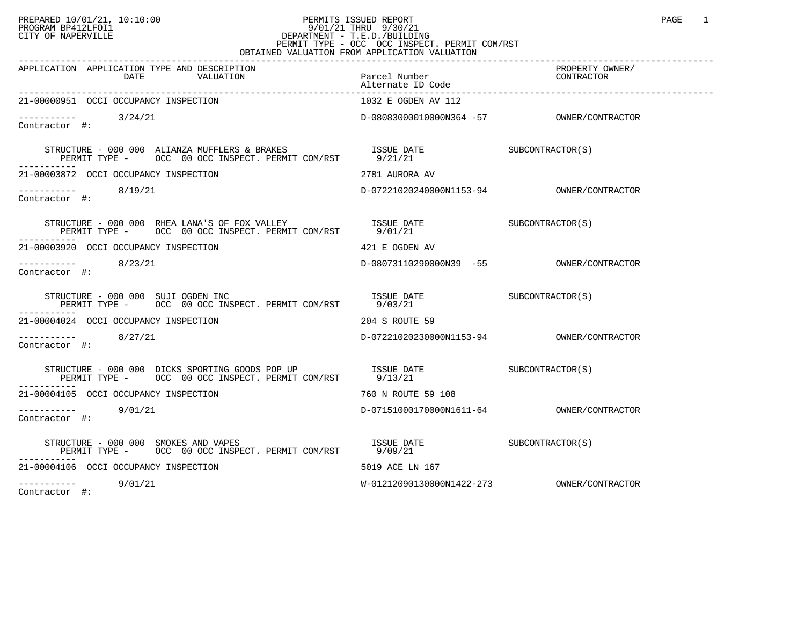## PREPARED 10/01/21, 10:10:00 PERMITS ISSUED REPORT PAGE 1 PROGRAM BP412LFOI1 9/01/21 THRU 9/30/21 CITY OF NAPERVILLE **Example 20** CITY OF NAPERVILLE PERMIT TYPE - OCC OCC INSPECT. PERMIT COM/RST OBTAINED VALUATION FROM APPLICATION VALUATION

| APPLICATION APPLICATION TYPE AND DESCRIPTION<br>DATE<br>VALUATION                                                                                                                                                                                                                                              | Parcel Number<br>Alternate ID Code | PROPERTY OWNER/<br>CONTRACTOR |
|----------------------------------------------------------------------------------------------------------------------------------------------------------------------------------------------------------------------------------------------------------------------------------------------------------------|------------------------------------|-------------------------------|
| 21-00000951 OCCI OCCUPANCY INSPECTION                                                                                                                                                                                                                                                                          | 1032 E OGDEN AV 112                |                               |
| $--------$ 3/24/21<br>Contractor #:                                                                                                                                                                                                                                                                            |                                    |                               |
| $\begin{tabular}{lllllllllll} \texttt{STRUCTURE} & 000 & 000 & \texttt{ALIANZA} \texttt{MUFFLERS} & \texttt{BRAKES} & \texttt{ISSUE} & \texttt{DATE} & \texttt{SUBCONTRACTOR(S)} \\ \texttt{PERMIT TYPE} & - & \texttt{OCC} & 00 & \texttt{OCC} & \texttt{INSPECTP. PERMIT COM/RST} & 9/21/21 & \end{tabular}$ |                                    |                               |
| 21-00003872 OCCI OCCUPANCY INSPECTION                                                                                                                                                                                                                                                                          | 2781 AURORA AV                     |                               |
| $\frac{1}{2}$ -----------<br>Contractor #:                                                                                                                                                                                                                                                                     |                                    |                               |
|                                                                                                                                                                                                                                                                                                                |                                    |                               |
| 21-00003920 OCCI OCCUPANCY INSPECTION                                                                                                                                                                                                                                                                          | 421 E OGDEN AV                     |                               |
| $--------$ 8/23/21<br>Contractor #:                                                                                                                                                                                                                                                                            |                                    |                               |
| STRUCTURE – 000 000 SUJI OGDEN INC<br>PERMIT TYPE – OCC 00 OCC INSPECT. PERMIT COM/RST 9/03/21<br>STRUCTURE - 000 000 SUJI OGDEN INC                                                                                                                                                                           |                                    |                               |
| 21-00004024 OCCI OCCUPANCY INSPECTION                                                                                                                                                                                                                                                                          | 204 S ROUTE 59                     |                               |
| $--------- 8/27/21$<br>Contractor #:                                                                                                                                                                                                                                                                           |                                    |                               |
|                                                                                                                                                                                                                                                                                                                |                                    |                               |
| 21-00004105 OCCI OCCUPANCY INSPECTION                                                                                                                                                                                                                                                                          | 760 N ROUTE 59 108                 |                               |
| $--------- 9/01/21$<br>Contractor #:                                                                                                                                                                                                                                                                           |                                    |                               |
| STRUCTURE - 000 000 SMOKES AND VAPES $S$ is the subset of $S$ in $S$ in $S$ is the $S$ in $S$ in $S$ in $S$ is $S$ if $S$ if $S$ if $S$ if $S$ if $S$ if $S$ if $S$ if $S$ if $S$ if $S$ if $S$ if $S$ if $S$ if $S$ if $S$ i<br>PERMIT TYPE - OCC 00 OCC INSPECT. PERMIT COM/RST 9/09/21                      |                                    |                               |
| 21-00004106 OCCI OCCUPANCY INSPECTION                                                                                                                                                                                                                                                                          | 5019 ACE LN 167                    |                               |
| $--------- 9/01/21$<br>$\alpha$ - and in the set of $\alpha$ is a set of $\alpha$ is a set of $\alpha$ is a set of $\alpha$                                                                                                                                                                                    |                                    |                               |

Contractor #: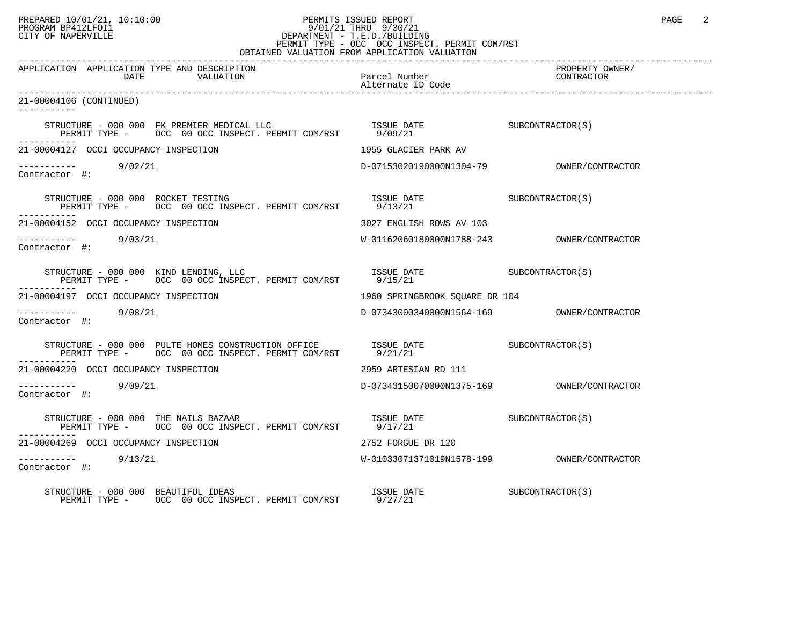## PREPARED 10/01/21, 10:10:00 PERMITS ISSUED REPORT PAGE 2 PROGRAM BP412LFOI1 9/01/21 THRU 9/30/21 CITY OF NAPERVILLE **Example 20** CITY OF NAPERVILLE PERMIT TYPE - OCC OCC INSPECT. PERMIT COM/RST

|                                                                                                                                                                                                                                                                                                                 | OBTAINED VALUATION FROM APPLICATION VALUATION                                             |                               |  |  |
|-----------------------------------------------------------------------------------------------------------------------------------------------------------------------------------------------------------------------------------------------------------------------------------------------------------------|-------------------------------------------------------------------------------------------|-------------------------------|--|--|
| APPLICATION APPLICATION TYPE AND DESCRIPTION<br>VALUATION<br>DATE                                                                                                                                                                                                                                               | Parcel Number<br>Alternate ID Code                                                        | PROPERTY OWNER/<br>CONTRACTOR |  |  |
| 21-00004106 (CONTINUED)                                                                                                                                                                                                                                                                                         |                                                                                           |                               |  |  |
| $\begin{tabular}{lllllll} \texttt{STRUCTURE} & 000 & 000 & \texttt{FK} & \texttt{REDLCAL} & \texttt{LLC} & \texttt{ISSUE} & \texttt{DATE} & \texttt{SUBCONTRACTOR(S)} \\ \texttt{PERMIT TYPE} & - & \texttt{OCC} & 00 & \texttt{OCC} & \texttt{INSPECT.} & \texttt{PERMIT COM/RST} & & 9/09/21 & \end{tabular}$ |                                                                                           |                               |  |  |
| 21-00004127 OCCI OCCUPANCY INSPECTION                                                                                                                                                                                                                                                                           | 1955 GLACIER PARK AV                                                                      |                               |  |  |
| $------ 9/02/21$<br>Contractor #:                                                                                                                                                                                                                                                                               |                                                                                           |                               |  |  |
|                                                                                                                                                                                                                                                                                                                 |                                                                                           |                               |  |  |
| 21-00004152 OCCI OCCUPANCY INSPECTION                                                                                                                                                                                                                                                                           | 3027 ENGLISH ROWS AV 103                                                                  |                               |  |  |
| --------- 9/03/21<br>Contractor #:                                                                                                                                                                                                                                                                              |                                                                                           |                               |  |  |
|                                                                                                                                                                                                                                                                                                                 |                                                                                           |                               |  |  |
| 21-00004197 OCCI OCCUPANCY INSPECTION                                                                                                                                                                                                                                                                           | 1960 SPRINGBROOK SQUARE DR 104                                                            |                               |  |  |
| ---------- 9/08/21<br>Contractor #:                                                                                                                                                                                                                                                                             |                                                                                           |                               |  |  |
| STRUCTURE - 000 000 PULTE HOMES CONSTRUCTION OFFICE ISSUE DATE SUBCONTRACTOR(S)<br>PERMIT TYPE - OCC 00 OCC INSPECT. PERMIT COM/RST 9/21/21                                                                                                                                                                     |                                                                                           |                               |  |  |
| 21-00004220 OCCI OCCUPANCY INSPECTION                                                                                                                                                                                                                                                                           | 2959 ARTESIAN RD 111                                                                      |                               |  |  |
| ---------- 9/09/21<br>Contractor #:                                                                                                                                                                                                                                                                             |                                                                                           |                               |  |  |
| STRUCTURE - 000 000 THE NAILS BAZAAR<br>PERMIT TYPE - OCC 00 OCC INSPECT. PERMIT COM/RST 9717/21                                                                                                                                                                                                                | ISSUE DATE SUBCONTRACTOR(S)                                                               |                               |  |  |
| 21-00004269 OCCI OCCUPANCY INSPECTION                                                                                                                                                                                                                                                                           | 2752 FORGUE DR 120                                                                        |                               |  |  |
| $--------$ 9/13/21<br>Contractor #:                                                                                                                                                                                                                                                                             |                                                                                           |                               |  |  |
| STRUCTURE - 000 000 BEAUTIFUL IDEAS<br>PERMIT TYPE - OCC 00 OCC INSPECT. PERMIT COM/RST 9/27/21                                                                                                                                                                                                                 | $\begin{array}{ll}\n \text{ISSUE} & \text{DATE} \\ \text{SUBCONTRACTOR(S)}\n \end{array}$ |                               |  |  |